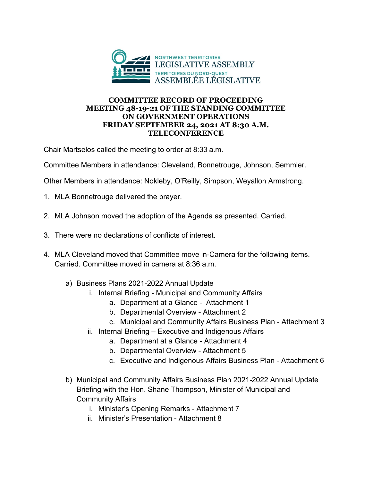

## **COMMITTEE RECORD OF PROCEEDING MEETING 48-19-21 OF THE STANDING COMMITTEE ON GOVERNMENT OPERATIONS FRIDAY SEPTEMBER 24, 2021 AT 8:30 A.M. TELECONFERENCE**

Chair Martselos called the meeting to order at 8:33 a.m.

Committee Members in attendance: Cleveland, Bonnetrouge, Johnson, Semmler.

Other Members in attendance: Nokleby, O'Reilly, Simpson, Weyallon Armstrong.

- 1. MLA Bonnetrouge delivered the prayer.
- 2. MLA Johnson moved the adoption of the Agenda as presented. Carried.
- 3. There were no declarations of conflicts of interest.
- 4. MLA Cleveland moved that Committee move in-Camera for the following items. Carried. Committee moved in camera at 8:36 a.m.
	- a) Business Plans 2021-2022 Annual Update
		- i. Internal Briefing Municipal and Community Affairs
			- a. Department at a Glance Attachment 1
			- b. Departmental Overview Attachment 2
			- c. Municipal and Community Affairs Business Plan Attachment 3
		- ii. Internal Briefing Executive and Indigenous Affairs
			- a. Department at a Glance Attachment 4
			- b. Departmental Overview Attachment 5
			- c. Executive and Indigenous Affairs Business Plan Attachment 6
	- b) Municipal and Community Affairs Business Plan 2021-2022 Annual Update Briefing with the Hon. Shane Thompson, Minister of Municipal and Community Affairs
		- i. Minister's Opening Remarks Attachment 7
		- ii. Minister's Presentation Attachment 8